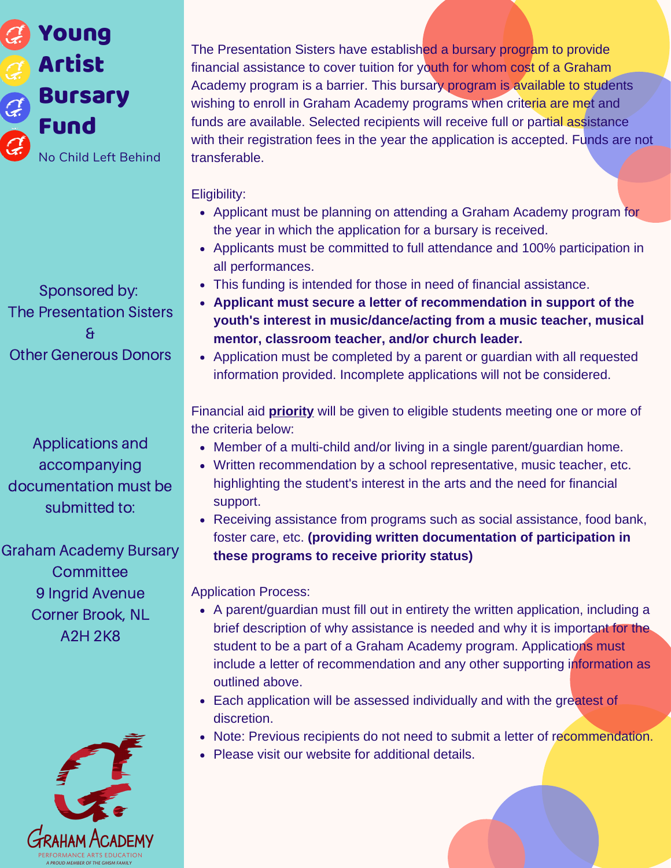

Sponsored by: The Presentation Sisters & Other Generous Donors

Applications and accompanying documentation must be submitted to:

Graham Academy Bursary **Committee** 9 Ingrid Avenue Corner Brook, NL A2H 2K8



The Presentation Sisters have established a bursary program to provide financial assistance to cover tuition for youth for whom cost of a Graham Academy program is a barrier. This bursary program is available to students wishing to enroll in Graham Academy programs when criteria are met and funds are available. Selected recipients will receive full or partial assistance with their registration fees in the year the application is accepted. Funds are not transferable.

Eligibility:

- Applicant must be planning on attending a Graham Academy program for the year in which the application for a bursary is received.
- Applicants must be committed to full attendance and 100% participation in all performances.
- This funding is intended for those in need of financial assistance.
- **Applicant must secure a letter of recommendation in support of the youth's interest in music/dance/acting from a music teacher, musical mentor, classroom teacher, and/or church leader.**
- Application must be completed by a parent or guardian with all requested information provided. Incomplete applications will not be considered.

Financial aid **priority** will be given to eligible students meeting one or more of the criteria below:

- Member of a multi-child and/or living in a single parent/guardian home.
- Written recommendation by a school representative, music teacher, etc. highlighting the student's interest in the arts and the need for financial support.
- Receiving assistance from programs such as social assistance, food bank, foster care, etc. **(providing written documentation of participation in these programs to receive priority status)**

Application Process:

- A parent/guardian must fill out in entirety the written application, including a brief description of why assistance is needed and why it is important for the student to be a part of a Graham Academy program. Applications must include a letter of recommendation and any other supporting information as outlined above.
- Each application will be assessed individually and with the greatest of discretion.
- Note: Previous recipients do not need to submit a letter of recommendation.
- Please visit our website for additional details.